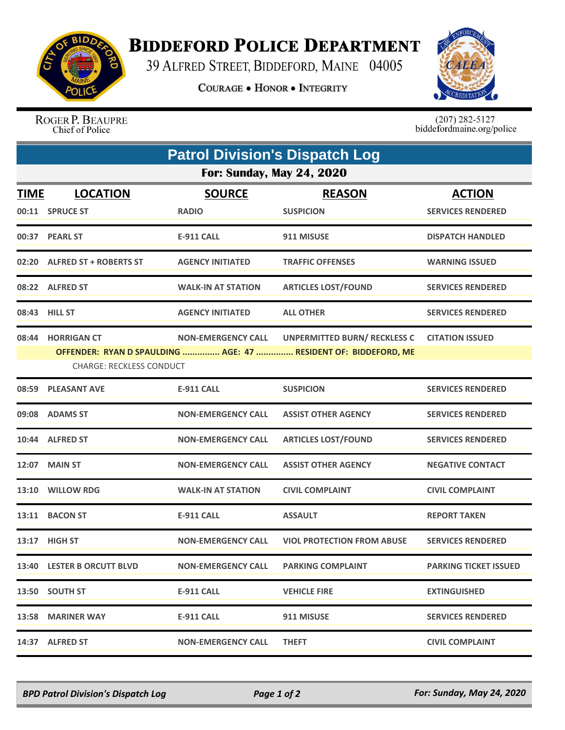

## **BIDDEFORD POLICE DEPARTMENT**

39 ALFRED STREET, BIDDEFORD, MAINE 04005

**COURAGE . HONOR . INTEGRITY** 



ROGER P. BEAUPRE Chief of Police

 $(207)$  282-5127<br>biddefordmaine.org/police

| <b>Patrol Division's Dispatch Log</b> |                                                      |                               |                                                                                                        |                                           |  |  |  |
|---------------------------------------|------------------------------------------------------|-------------------------------|--------------------------------------------------------------------------------------------------------|-------------------------------------------|--|--|--|
| <b>For: Sunday, May 24, 2020</b>      |                                                      |                               |                                                                                                        |                                           |  |  |  |
| <u>TIME</u>                           | <b>LOCATION</b><br>00:11 SPRUCE ST                   | <b>SOURCE</b><br><b>RADIO</b> | <b>REASON</b><br><b>SUSPICION</b>                                                                      | <b>ACTION</b><br><b>SERVICES RENDERED</b> |  |  |  |
|                                       | 00:37 PEARL ST                                       | E-911 CALL                    | 911 MISUSE                                                                                             | <b>DISPATCH HANDLED</b>                   |  |  |  |
|                                       | 02:20 ALFRED ST + ROBERTS ST                         | <b>AGENCY INITIATED</b>       | <b>TRAFFIC OFFENSES</b>                                                                                | <b>WARNING ISSUED</b>                     |  |  |  |
|                                       | 08:22 ALFRED ST                                      | <b>WALK-IN AT STATION</b>     | <b>ARTICLES LOST/FOUND</b>                                                                             | <b>SERVICES RENDERED</b>                  |  |  |  |
|                                       | 08:43 HILL ST                                        | <b>AGENCY INITIATED</b>       | <b>ALL OTHER</b>                                                                                       | <b>SERVICES RENDERED</b>                  |  |  |  |
|                                       | 08:44 HORRIGAN CT<br><b>CHARGE: RECKLESS CONDUCT</b> | <b>NON-EMERGENCY CALL</b>     | <b>UNPERMITTED BURN/ RECKLESS C</b><br>OFFENDER: RYAN D SPAULDING  AGE: 47  RESIDENT OF: BIDDEFORD, ME | <b>CITATION ISSUED</b>                    |  |  |  |
| 08:59                                 | <b>PLEASANT AVE</b>                                  | <b>E-911 CALL</b>             | <b>SUSPICION</b>                                                                                       | <b>SERVICES RENDERED</b>                  |  |  |  |
|                                       | 09:08 ADAMS ST                                       | <b>NON-EMERGENCY CALL</b>     | <b>ASSIST OTHER AGENCY</b>                                                                             | <b>SERVICES RENDERED</b>                  |  |  |  |
|                                       | 10:44 ALFRED ST                                      | <b>NON-EMERGENCY CALL</b>     | <b>ARTICLES LOST/FOUND</b>                                                                             | <b>SERVICES RENDERED</b>                  |  |  |  |
| 12:07                                 | <b>MAIN ST</b>                                       | <b>NON-EMERGENCY CALL</b>     | <b>ASSIST OTHER AGENCY</b>                                                                             | <b>NEGATIVE CONTACT</b>                   |  |  |  |
|                                       | 13:10 WILLOW RDG                                     | <b>WALK-IN AT STATION</b>     | <b>CIVIL COMPLAINT</b>                                                                                 | <b>CIVIL COMPLAINT</b>                    |  |  |  |
| 13:11                                 | <b>BACON ST</b>                                      | <b>E-911 CALL</b>             | <b>ASSAULT</b>                                                                                         | <b>REPORT TAKEN</b>                       |  |  |  |
|                                       | 13:17 HIGH ST                                        | <b>NON-EMERGENCY CALL</b>     | <b>VIOL PROTECTION FROM ABUSE</b>                                                                      | <b>SERVICES RENDERED</b>                  |  |  |  |
|                                       | 13:40 LESTER B ORCUTT BLVD                           | <b>NON-EMERGENCY CALL</b>     | <b>PARKING COMPLAINT</b>                                                                               | <b>PARKING TICKET ISSUED</b>              |  |  |  |
|                                       | 13:50 SOUTH ST                                       | E-911 CALL                    | <b>VEHICLE FIRE</b>                                                                                    | <b>EXTINGUISHED</b>                       |  |  |  |
|                                       | 13:58 MARINER WAY                                    | E-911 CALL                    | 911 MISUSE                                                                                             | <b>SERVICES RENDERED</b>                  |  |  |  |
|                                       | 14:37 ALFRED ST                                      | <b>NON-EMERGENCY CALL</b>     | <b>THEFT</b>                                                                                           | <b>CIVIL COMPLAINT</b>                    |  |  |  |